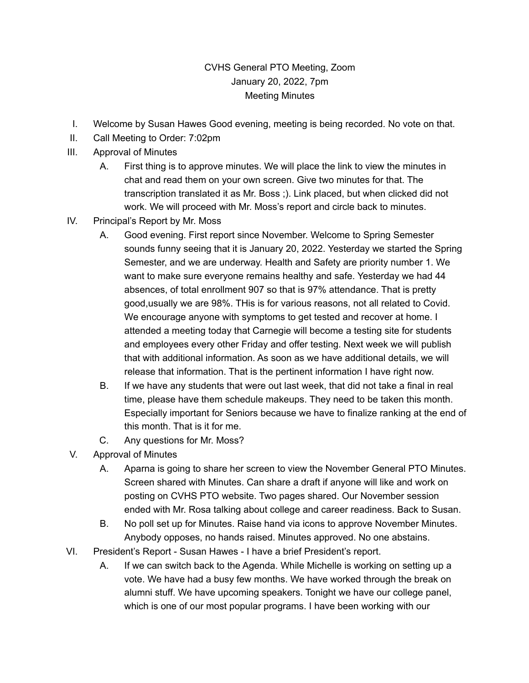## CVHS General PTO Meeting, Zoom January 20, 2022, 7pm Meeting Minutes

- I. Welcome by Susan Hawes Good evening, meeting is being recorded. No vote on that.
- II. Call Meeting to Order: 7:02pm
- III. Approval of Minutes
	- A. First thing is to approve minutes. We will place the link to view the minutes in chat and read them on your own screen. Give two minutes for that. The transcription translated it as Mr. Boss ;). Link placed, but when clicked did not work. We will proceed with Mr. Moss's report and circle back to minutes.
- IV. Principal's Report by Mr. Moss
	- A. Good evening. First report since November. Welcome to Spring Semester sounds funny seeing that it is January 20, 2022. Yesterday we started the Spring Semester, and we are underway. Health and Safety are priority number 1. We want to make sure everyone remains healthy and safe. Yesterday we had 44 absences, of total enrollment 907 so that is 97% attendance. That is pretty good,usually we are 98%. THis is for various reasons, not all related to Covid. We encourage anyone with symptoms to get tested and recover at home. I attended a meeting today that Carnegie will become a testing site for students and employees every other Friday and offer testing. Next week we will publish that with additional information. As soon as we have additional details, we will release that information. That is the pertinent information I have right now.
	- B. If we have any students that were out last week, that did not take a final in real time, please have them schedule makeups. They need to be taken this month. Especially important for Seniors because we have to finalize ranking at the end of this month. That is it for me.
	- C. Any questions for Mr. Moss?
- V. Approval of Minutes
	- A. Aparna is going to share her screen to view the November General PTO Minutes. Screen shared with Minutes. Can share a draft if anyone will like and work on posting on CVHS PTO website. Two pages shared. Our November session ended with Mr. Rosa talking about college and career readiness. Back to Susan.
	- B. No poll set up for Minutes. Raise hand via icons to approve November Minutes. Anybody opposes, no hands raised. Minutes approved. No one abstains.
- VI. President's Report Susan Hawes I have a brief President's report.
	- A. If we can switch back to the Agenda. While Michelle is working on setting up a vote. We have had a busy few months. We have worked through the break on alumni stuff. We have upcoming speakers. Tonight we have our college panel, which is one of our most popular programs. I have been working with our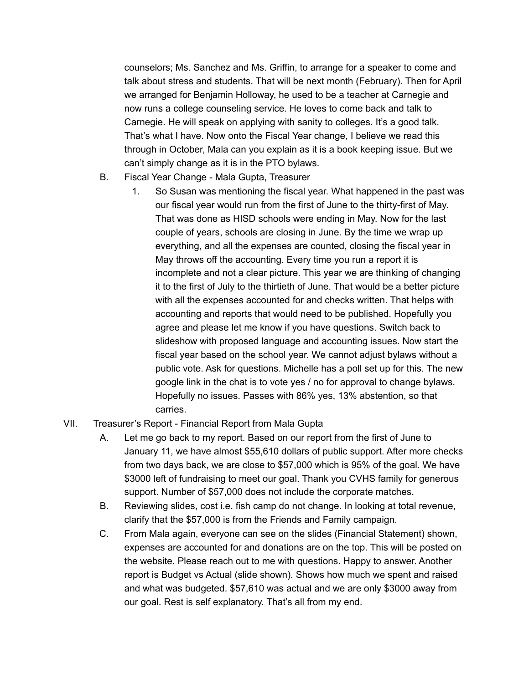counselors; Ms. Sanchez and Ms. Griffin, to arrange for a speaker to come and talk about stress and students. That will be next month (February). Then for April we arranged for Benjamin Holloway, he used to be a teacher at Carnegie and now runs a college counseling service. He loves to come back and talk to Carnegie. He will speak on applying with sanity to colleges. It's a good talk. That's what I have. Now onto the Fiscal Year change, I believe we read this through in October, Mala can you explain as it is a book keeping issue. But we can't simply change as it is in the PTO bylaws.

- B. Fiscal Year Change Mala Gupta, Treasurer
	- 1. So Susan was mentioning the fiscal year. What happened in the past was our fiscal year would run from the first of June to the thirty-first of May. That was done as HISD schools were ending in May. Now for the last couple of years, schools are closing in June. By the time we wrap up everything, and all the expenses are counted, closing the fiscal year in May throws off the accounting. Every time you run a report it is incomplete and not a clear picture. This year we are thinking of changing it to the first of July to the thirtieth of June. That would be a better picture with all the expenses accounted for and checks written. That helps with accounting and reports that would need to be published. Hopefully you agree and please let me know if you have questions. Switch back to slideshow with proposed language and accounting issues. Now start the fiscal year based on the school year. We cannot adjust bylaws without a public vote. Ask for questions. Michelle has a poll set up for this. The new google link in the chat is to vote yes / no for approval to change bylaws. Hopefully no issues. Passes with 86% yes, 13% abstention, so that carries.
- VII. Treasurer's Report Financial Report from Mala Gupta
	- A. Let me go back to my report. Based on our report from the first of June to January 11, we have almost \$55,610 dollars of public support. After more checks from two days back, we are close to \$57,000 which is 95% of the goal. We have \$3000 left of fundraising to meet our goal. Thank you CVHS family for generous support. Number of \$57,000 does not include the corporate matches.
	- B. Reviewing slides, cost i.e. fish camp do not change. In looking at total revenue, clarify that the \$57,000 is from the Friends and Family campaign.
	- C. From Mala again, everyone can see on the slides (Financial Statement) shown, expenses are accounted for and donations are on the top. This will be posted on the website. Please reach out to me with questions. Happy to answer. Another report is Budget vs Actual (slide shown). Shows how much we spent and raised and what was budgeted. \$57,610 was actual and we are only \$3000 away from our goal. Rest is self explanatory. That's all from my end.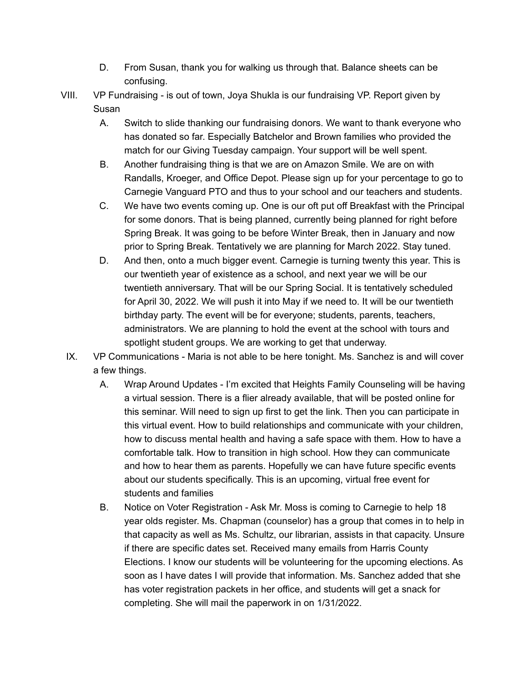- D. From Susan, thank you for walking us through that. Balance sheets can be confusing.
- VIII. VP Fundraising is out of town, Joya Shukla is our fundraising VP. Report given by Susan
	- A. Switch to slide thanking our fundraising donors. We want to thank everyone who has donated so far. Especially Batchelor and Brown families who provided the match for our Giving Tuesday campaign. Your support will be well spent.
	- B. Another fundraising thing is that we are on Amazon Smile. We are on with Randalls, Kroeger, and Office Depot. Please sign up for your percentage to go to Carnegie Vanguard PTO and thus to your school and our teachers and students.
	- C. We have two events coming up. One is our oft put off Breakfast with the Principal for some donors. That is being planned, currently being planned for right before Spring Break. It was going to be before Winter Break, then in January and now prior to Spring Break. Tentatively we are planning for March 2022. Stay tuned.
	- D. And then, onto a much bigger event. Carnegie is turning twenty this year. This is our twentieth year of existence as a school, and next year we will be our twentieth anniversary. That will be our Spring Social. It is tentatively scheduled for April 30, 2022. We will push it into May if we need to. It will be our twentieth birthday party. The event will be for everyone; students, parents, teachers, administrators. We are planning to hold the event at the school with tours and spotlight student groups. We are working to get that underway.
	- IX. VP Communications Maria is not able to be here tonight. Ms. Sanchez is and will cover a few things.
		- A. Wrap Around Updates I'm excited that Heights Family Counseling will be having a virtual session. There is a flier already available, that will be posted online for this seminar. Will need to sign up first to get the link. Then you can participate in this virtual event. How to build relationships and communicate with your children, how to discuss mental health and having a safe space with them. How to have a comfortable talk. How to transition in high school. How they can communicate and how to hear them as parents. Hopefully we can have future specific events about our students specifically. This is an upcoming, virtual free event for students and families
		- B. Notice on Voter Registration Ask Mr. Moss is coming to Carnegie to help 18 year olds register. Ms. Chapman (counselor) has a group that comes in to help in that capacity as well as Ms. Schultz, our librarian, assists in that capacity. Unsure if there are specific dates set. Received many emails from Harris County Elections. I know our students will be volunteering for the upcoming elections. As soon as I have dates I will provide that information. Ms. Sanchez added that she has voter registration packets in her office, and students will get a snack for completing. She will mail the paperwork in on 1/31/2022.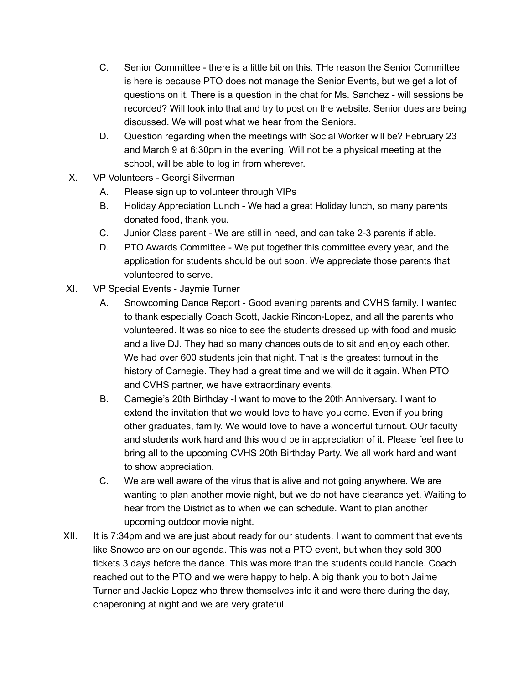- C. Senior Committee there is a little bit on this. THe reason the Senior Committee is here is because PTO does not manage the Senior Events, but we get a lot of questions on it. There is a question in the chat for Ms. Sanchez - will sessions be recorded? Will look into that and try to post on the website. Senior dues are being discussed. We will post what we hear from the Seniors.
- D. Question regarding when the meetings with Social Worker will be? February 23 and March 9 at 6:30pm in the evening. Will not be a physical meeting at the school, will be able to log in from wherever.
- X. VP Volunteers Georgi Silverman
	- A. Please sign up to volunteer through VIPs
	- B. Holiday Appreciation Lunch We had a great Holiday lunch, so many parents donated food, thank you.
	- C. Junior Class parent We are still in need, and can take 2-3 parents if able.
	- D. PTO Awards Committee We put together this committee every year, and the application for students should be out soon. We appreciate those parents that volunteered to serve.
- XI. VP Special Events Jaymie Turner
	- A. Snowcoming Dance Report Good evening parents and CVHS family. I wanted to thank especially Coach Scott, Jackie Rincon-Lopez, and all the parents who volunteered. It was so nice to see the students dressed up with food and music and a live DJ. They had so many chances outside to sit and enjoy each other. We had over 600 students join that night. That is the greatest turnout in the history of Carnegie. They had a great time and we will do it again. When PTO and CVHS partner, we have extraordinary events.
	- B. Carnegie's 20th Birthday -I want to move to the 20th Anniversary. I want to extend the invitation that we would love to have you come. Even if you bring other graduates, family. We would love to have a wonderful turnout. OUr faculty and students work hard and this would be in appreciation of it. Please feel free to bring all to the upcoming CVHS 20th Birthday Party. We all work hard and want to show appreciation.
	- C. We are well aware of the virus that is alive and not going anywhere. We are wanting to plan another movie night, but we do not have clearance yet. Waiting to hear from the District as to when we can schedule. Want to plan another upcoming outdoor movie night.
- XII. It is 7:34pm and we are just about ready for our students. I want to comment that events like Snowco are on our agenda. This was not a PTO event, but when they sold 300 tickets 3 days before the dance. This was more than the students could handle. Coach reached out to the PTO and we were happy to help. A big thank you to both Jaime Turner and Jackie Lopez who threw themselves into it and were there during the day, chaperoning at night and we are very grateful.